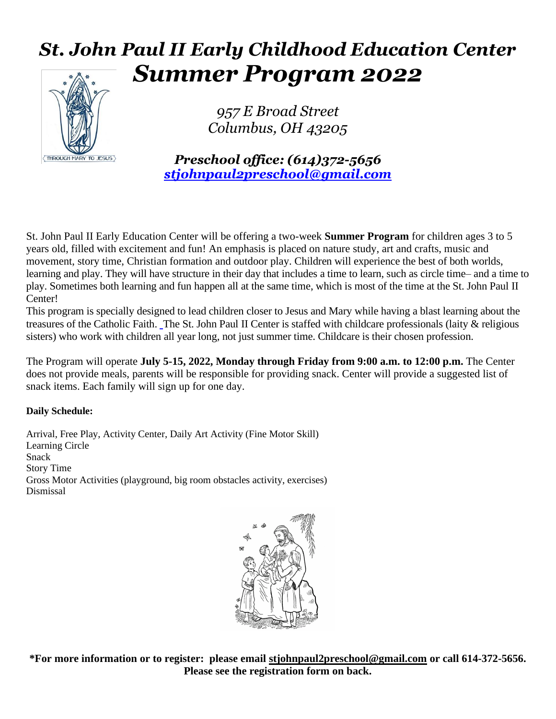## *St. John Paul II Early Childhood Education Center Summer Program 2022*



*957 E Broad Street Columbus, OH 43205*

*Preschool office: (614)372-5656 [stjohnpaul2preschool@gmail.com](mailto:stjohnpaul2preschool@gmail.com)*

St. John Paul II Early Education Center will be offering a two-week **Summer Program** for children ages 3 to 5 years old, filled with excitement and fun! An emphasis is placed on nature study, art and crafts, music and movement, story time, Christian formation and outdoor play. Children will experience the best of both worlds, learning and play. They will have structure in their day that includes a time to learn, such as circle time– and a time to play. Sometimes both learning and fun happen all at the same time, which is most of the time at the St. John Paul II Center!

This program is specially designed to lead children closer to Jesus and Mary while having a blast learning about the treasures of the Catholic Faith. The St. John Paul II Center is staffed with childcare professionals (laity & religious sisters) who work with children all year long, not just summer time. Childcare is their chosen profession.

The Program will operate **July 5-15, 2022, Monday through Friday from 9:00 a.m. to 12:00 p.m.** The Center does not provide meals, parents will be responsible for providing snack. Center will provide a suggested list of snack items. Each family will sign up for one day.

## **Daily Schedule:**

Arrival, Free Play, Activity Center, Daily Art Activity (Fine Motor Skill) Learning Circle Snack Story Time Gross Motor Activities (playground, big room obstacles activity, exercises) Dismissal



**\*For more information or to register: please email [stjohnpaul2preschool@gmail.com](mailto:stjohnpaul2preschool@gmail.com) or call 614-372-5656. Please see the registration form on back.**